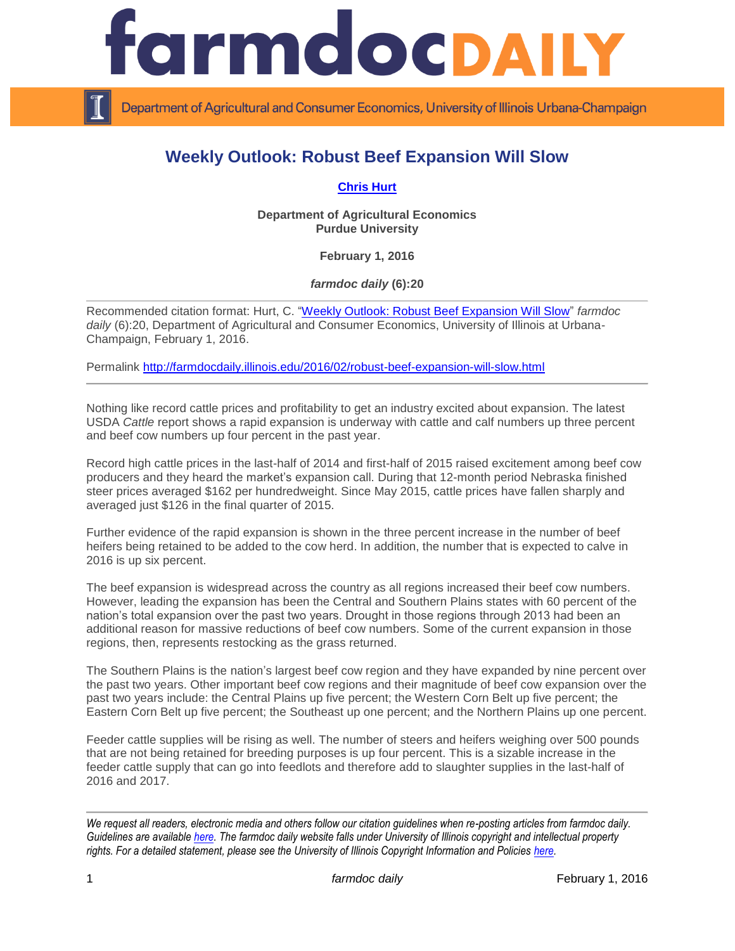

Department of Agricultural and Consumer Economics, University of Illinois Urbana-Champaign

## **Weekly Outlook: Robust Beef Expansion Will Slow**

**[Chris Hurt](https://ag.purdue.edu/agecon/Pages/Profile.aspx?strAlias=hurtc)**

**Department of Agricultural Economics Purdue University**

**February 1, 2016**

*farmdoc daily* **(6):20**

Recommended citation format: Hurt, C. ["Weekly Outlook: Robust Beef Expansion Will Slow"](http://farmdocdaily.illinois.edu/2016/02/robust-beef-expansion-will-slow.html) *farmdoc* daily (6):20, Department of Agricultural and Consumer Economics, University of Illinois at Urbana-Champaign, February 1, 2016.

Permalink <http://farmdocdaily.illinois.edu/2016/02/robust-beef-expansion-will-slow.html>

Nothing like record cattle prices and profitability to get an industry excited about expansion. The latest USDA *Cattle* report shows a rapid expansion is underway with cattle and calf numbers up three percent and beef cow numbers up four percent in the past year.

Record high cattle prices in the last-half of 2014 and first-half of 2015 raised excitement among beef cow producers and they heard the market's expansion call. During that 12-month period Nebraska finished steer prices averaged \$162 per hundredweight. Since May 2015, cattle prices have fallen sharply and averaged just \$126 in the final quarter of 2015.

Further evidence of the rapid expansion is shown in the three percent increase in the number of beef heifers being retained to be added to the cow herd. In addition, the number that is expected to calve in 2016 is up six percent.

The beef expansion is widespread across the country as all regions increased their beef cow numbers. However, leading the expansion has been the Central and Southern Plains states with 60 percent of the nation's total expansion over the past two years. Drought in those regions through 2013 had been an additional reason for massive reductions of beef cow numbers. Some of the current expansion in those regions, then, represents restocking as the grass returned.

The Southern Plains is the nation's largest beef cow region and they have expanded by nine percent over the past two years. Other important beef cow regions and their magnitude of beef cow expansion over the past two years include: the Central Plains up five percent; the Western Corn Belt up five percent; the Eastern Corn Belt up five percent; the Southeast up one percent; and the Northern Plains up one percent.

Feeder cattle supplies will be rising as well. The number of steers and heifers weighing over 500 pounds that are not being retained for breeding purposes is up four percent. This is a sizable increase in the feeder cattle supply that can go into feedlots and therefore add to slaughter supplies in the last-half of 2016 and 2017.

*We request all readers, electronic media and others follow our citation guidelines when re-posting articles from farmdoc daily. Guidelines are available [here.](http://farmdocdaily.illinois.edu/citationguide.html) The farmdoc daily website falls under University of Illinois copyright and intellectual property rights. For a detailed statement, please see the University of Illinois Copyright Information and Policies [here.](http://www.cio.illinois.edu/policies/copyright/)*